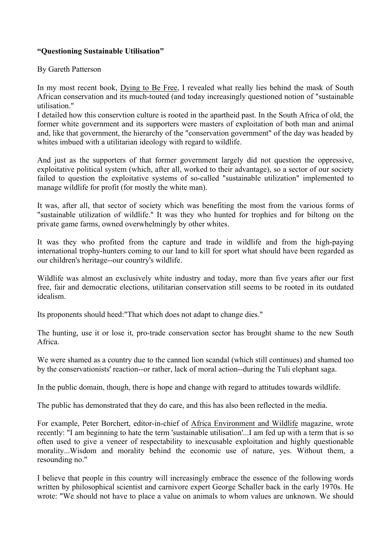## **"Questioning Sustainable Utilisation"**

## By Gareth Patterson

In my most recent book, Dying to Be Free, I revealed what really lies behind the mask of South African conservation and its much-touted (and today increasingly questioned notion of "sustainable utilisation."

I detailed how this conservtion culture is rooted in the apartheid past. In the South Africa of old, the former white government and its supporters were masters of exploitation of both man and animal and, like that government, the hierarchy of the "conservation government" of the day was headed by whites imbued with a utilitarian ideology with regard to wildlife.

And just as the supporters of that former government largely did not question the oppressive, exploitative political system (which, after all, worked to their advantage), so a sector of our society failed to question the exploitative systems of so-called "sustainable utilization" implemented to manage wildlife for profit (for mostly the white man).

It was, after all, that sector of society which was benefiting the most from the various forms of "sustainable utilization of wildlife." It was they who hunted for trophies and for biltong on the private game farms, owned overwhelmingly by other whites.

It was they who profited from the capture and trade in wildlife and from the high-paying international trophy-hunters coming to our land to kill for sport what should have been regarded as our children's heritage--our country's wildlife.

Wildlife was almost an exclusively white industry and today, more than five years after our first free, fair and democratic elections, utilitarian conservation still seems to be rooted in its outdated idealism.

Its proponents should heed:"That which does not adapt to change dies."

The hunting, use it or lose it, pro-trade conservation sector has brought shame to the new South Africa.

We were shamed as a country due to the canned lion scandal (which still continues) and shamed too by the conservationists' reaction--or rather, lack of moral action--during the Tuli elephant saga.

In the public domain, though, there is hope and change with regard to attitudes towards wildlife.

The public has demonstrated that they do care, and this has also been reflected in the media.

For example, Peter Borchert, editor-in-chief of Africa Environment and Wildlife magazine, wrote recently: "I am beginning to hate the term 'sustainable utilisation'...I am fed up with a term that is so often used to give a veneer of respectability to inexcusable exploitation and highly questionable morality...Wisdom and morality behind the economic use of nature, yes. Without them, a resounding no."

I believe that people in this country will increasingly embrace the essence of the following words written by philosophical scientist and carnivore expert George Schaller back in the early 1970s. He wrote: "We should not have to place a value on animals to whom values are unknown. We should